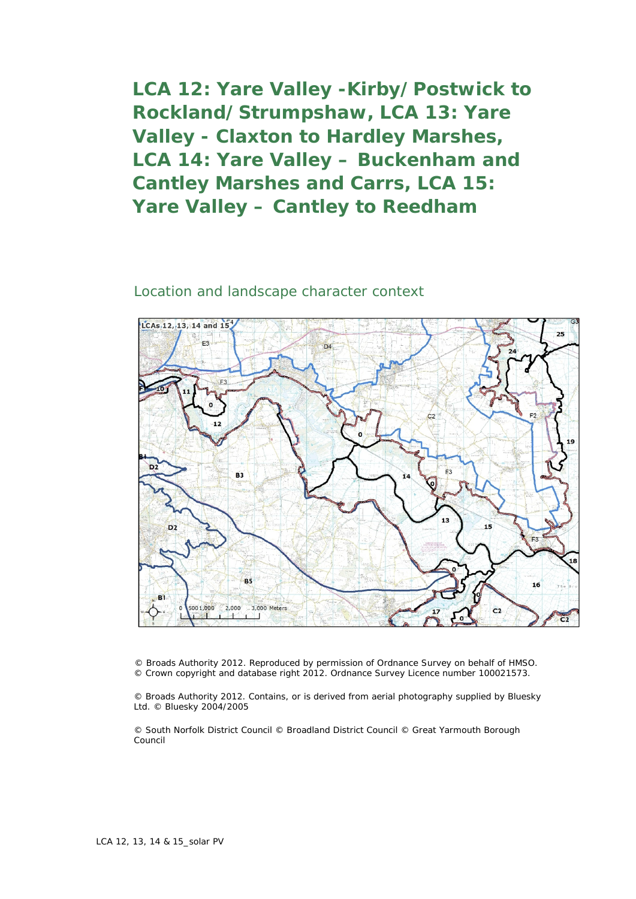**LCA 12: Yare Valley -Kirby/Postwick to Rockland/Strumpshaw, LCA 13: Yare Valley - Claxton to Hardley Marshes, LCA 14: Yare Valley – Buckenham and Cantley Marshes and Carrs, LCA 15: Yare Valley – Cantley to Reedham**

## Location and landscape character context



© Broads Authority 2012. Reproduced by permission of Ordnance Survey on behalf of HMSO. © Crown copyright and database right 2012. Ordnance Survey Licence number 100021573.

© Broads Authority 2012. Contains, or is derived from aerial photography supplied by Bluesky Ltd. © Bluesky 2004/2005

© South Norfolk District Council © Broadland District Council © Great Yarmouth Borough Council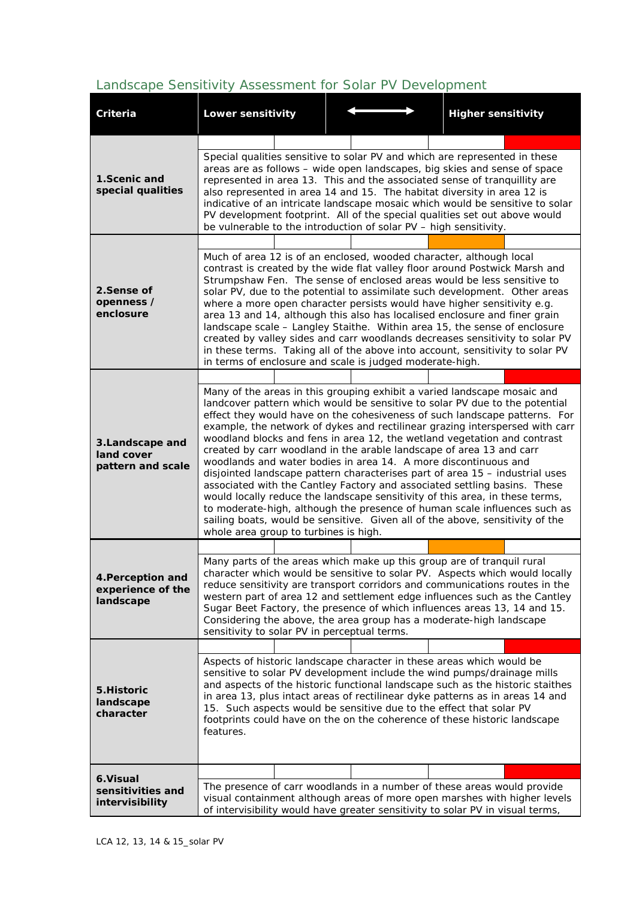## *Landscape Sensitivity Assessment for Solar PV Development*

| Criteria                                            | <b>Lower sensitivity</b>                                                                                                                                                                                                                                                                                                                                                                                                                                                                                                                                                                                                                                                                                                                                                                                                                                                                                                                                                                         |  |  |  |  | <b>Higher sensitivity</b> |  |  |  |  |
|-----------------------------------------------------|--------------------------------------------------------------------------------------------------------------------------------------------------------------------------------------------------------------------------------------------------------------------------------------------------------------------------------------------------------------------------------------------------------------------------------------------------------------------------------------------------------------------------------------------------------------------------------------------------------------------------------------------------------------------------------------------------------------------------------------------------------------------------------------------------------------------------------------------------------------------------------------------------------------------------------------------------------------------------------------------------|--|--|--|--|---------------------------|--|--|--|--|
|                                                     |                                                                                                                                                                                                                                                                                                                                                                                                                                                                                                                                                                                                                                                                                                                                                                                                                                                                                                                                                                                                  |  |  |  |  |                           |  |  |  |  |
| 1. Scenic and<br>special qualities                  | Special qualities sensitive to solar PV and which are represented in these<br>areas are as follows - wide open landscapes, big skies and sense of space<br>represented in area 13. This and the associated sense of tranquillity are<br>also represented in area 14 and 15. The habitat diversity in area 12 is<br>indicative of an intricate landscape mosaic which would be sensitive to solar<br>PV development footprint. All of the special qualities set out above would<br>be vulnerable to the introduction of solar PV - high sensitivity.                                                                                                                                                                                                                                                                                                                                                                                                                                              |  |  |  |  |                           |  |  |  |  |
| 2.Sense of<br>openness /<br>enclosure               | Much of area 12 is of an enclosed, wooded character, although local<br>contrast is created by the wide flat valley floor around Postwick Marsh and<br>Strumpshaw Fen. The sense of enclosed areas would be less sensitive to<br>solar PV, due to the potential to assimilate such development. Other areas<br>where a more open character persists would have higher sensitivity e.g.<br>area 13 and 14, although this also has localised enclosure and finer grain<br>landscape scale - Langley Staithe. Within area 15, the sense of enclosure<br>created by valley sides and carr woodlands decreases sensitivity to solar PV<br>in these terms. Taking all of the above into account, sensitivity to solar PV<br>in terms of enclosure and scale is judged moderate-high.                                                                                                                                                                                                                    |  |  |  |  |                           |  |  |  |  |
|                                                     |                                                                                                                                                                                                                                                                                                                                                                                                                                                                                                                                                                                                                                                                                                                                                                                                                                                                                                                                                                                                  |  |  |  |  |                           |  |  |  |  |
| 3.Landscape and<br>land cover<br>pattern and scale  | Many of the areas in this grouping exhibit a varied landscape mosaic and<br>landcover pattern which would be sensitive to solar PV due to the potential<br>effect they would have on the cohesiveness of such landscape patterns. For<br>example, the network of dykes and rectilinear grazing interspersed with carr<br>woodland blocks and fens in area 12, the wetland vegetation and contrast<br>created by carr woodland in the arable landscape of area 13 and carr<br>woodlands and water bodies in area 14. A more discontinuous and<br>disjointed landscape pattern characterises part of area 15 - industrial uses<br>associated with the Cantley Factory and associated settling basins. These<br>would locally reduce the landscape sensitivity of this area, in these terms,<br>to moderate-high, although the presence of human scale influences such as<br>sailing boats, would be sensitive. Given all of the above, sensitivity of the<br>whole area group to turbines is high. |  |  |  |  |                           |  |  |  |  |
|                                                     |                                                                                                                                                                                                                                                                                                                                                                                                                                                                                                                                                                                                                                                                                                                                                                                                                                                                                                                                                                                                  |  |  |  |  |                           |  |  |  |  |
| 4. Perception and<br>experience of the<br>landscape | Many parts of the areas which make up this group are of tranquil rural<br>character which would be sensitive to solar PV. Aspects which would locally<br>reduce sensitivity are transport corridors and communications routes in the<br>western part of area 12 and settlement edge influences such as the Cantley<br>Sugar Beet Factory, the presence of which influences areas 13, 14 and 15.<br>Considering the above, the area group has a moderate-high landscape<br>sensitivity to solar PV in perceptual terms.                                                                                                                                                                                                                                                                                                                                                                                                                                                                           |  |  |  |  |                           |  |  |  |  |
|                                                     |                                                                                                                                                                                                                                                                                                                                                                                                                                                                                                                                                                                                                                                                                                                                                                                                                                                                                                                                                                                                  |  |  |  |  |                           |  |  |  |  |
| 5.Historic<br>landscape<br>character                | Aspects of historic landscape character in these areas which would be<br>sensitive to solar PV development include the wind pumps/drainage mills<br>and aspects of the historic functional landscape such as the historic staithes<br>in area 13, plus intact areas of rectilinear dyke patterns as in areas 14 and<br>15. Such aspects would be sensitive due to the effect that solar PV<br>footprints could have on the on the coherence of these historic landscape<br>features.                                                                                                                                                                                                                                                                                                                                                                                                                                                                                                             |  |  |  |  |                           |  |  |  |  |
| 6. Visual<br>sensitivities and<br>intervisibility   |                                                                                                                                                                                                                                                                                                                                                                                                                                                                                                                                                                                                                                                                                                                                                                                                                                                                                                                                                                                                  |  |  |  |  |                           |  |  |  |  |
|                                                     | The presence of carr woodlands in a number of these areas would provide<br>visual containment although areas of more open marshes with higher levels<br>of intervisibility would have greater sensitivity to solar PV in visual terms,                                                                                                                                                                                                                                                                                                                                                                                                                                                                                                                                                                                                                                                                                                                                                           |  |  |  |  |                           |  |  |  |  |